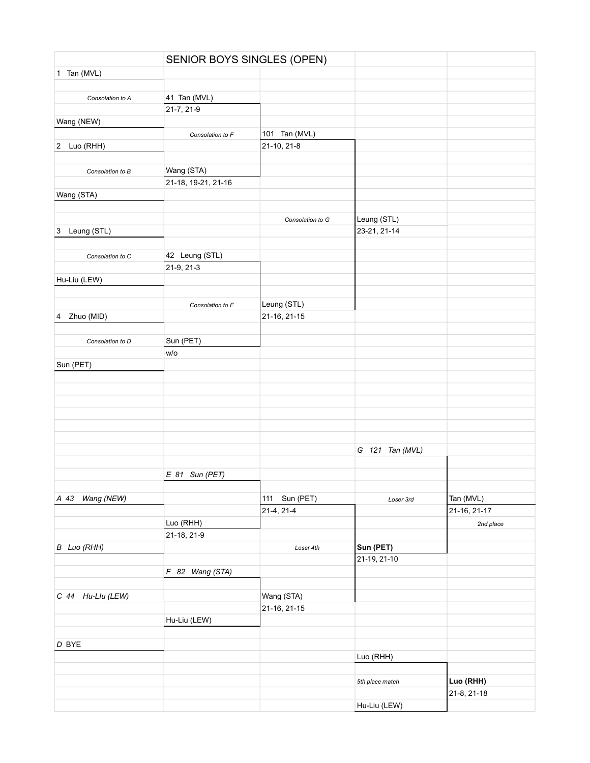|                    | SENIOR BOYS SINGLES (OPEN) |                  |                 |              |
|--------------------|----------------------------|------------------|-----------------|--------------|
| 1 Tan (MVL)        |                            |                  |                 |              |
|                    |                            |                  |                 |              |
| Consolation to A   | 41 Tan (MVL)               |                  |                 |              |
|                    | 21-7, 21-9                 |                  |                 |              |
| Wang (NEW)         |                            |                  |                 |              |
|                    | Consolation to F           | 101 Tan (MVL)    |                 |              |
| 2 Luo (RHH)        |                            | 21-10, 21-8      |                 |              |
|                    |                            |                  |                 |              |
| Consolation to B   | Wang (STA)                 |                  |                 |              |
|                    | 21-18, 19-21, 21-16        |                  |                 |              |
| Wang (STA)         |                            |                  |                 |              |
|                    |                            |                  |                 |              |
|                    |                            | Consolation to G | Leung (STL)     |              |
| 3 Leung (STL)      |                            |                  | 23-21, 21-14    |              |
|                    |                            |                  |                 |              |
| Consolation to C   | 42 Leung (STL)             |                  |                 |              |
|                    | 21-9, 21-3                 |                  |                 |              |
| Hu-Liu (LEW)       |                            |                  |                 |              |
|                    |                            |                  |                 |              |
|                    | Consolation to E           | Leung (STL)      |                 |              |
| Zhuo (MID)<br>4    |                            | 21-16, 21-15     |                 |              |
|                    |                            |                  |                 |              |
| Consolation to D   | Sun (PET)                  |                  |                 |              |
|                    | W/O                        |                  |                 |              |
| Sun (PET)          |                            |                  |                 |              |
|                    |                            |                  |                 |              |
|                    |                            |                  |                 |              |
|                    |                            |                  |                 |              |
|                    |                            |                  |                 |              |
|                    |                            |                  |                 |              |
|                    |                            |                  |                 |              |
|                    |                            |                  |                 |              |
|                    |                            |                  | G 121 Tan (MVL) |              |
|                    |                            |                  |                 |              |
|                    | $E$ 81 Sun (PET)           |                  |                 |              |
|                    |                            |                  |                 |              |
| A 43<br>Wang (NEW) |                            | 111 Sun (PET)    | Loser 3rd       | Tan (MVL)    |
|                    |                            | 21-4, 21-4       |                 | 21-16, 21-17 |
|                    | Luo (RHH)                  |                  |                 | 2nd place    |
|                    | 21-18, 21-9                |                  |                 |              |
| B Luo (RHH)        |                            | Loser 4th        | Sun (PET)       |              |
|                    |                            |                  | 21-19, 21-10    |              |
|                    | F 82 Wang (STA)            |                  |                 |              |
|                    |                            |                  |                 |              |
| C 44 Hu-Llu (LEW)  |                            | Wang (STA)       |                 |              |
|                    |                            | 21-16, 21-15     |                 |              |
|                    | Hu-Liu (LEW)               |                  |                 |              |
|                    |                            |                  |                 |              |
| $D$ BYE            |                            |                  |                 |              |
|                    |                            |                  | Luo (RHH)       |              |
|                    |                            |                  |                 |              |
|                    |                            |                  | 5th place match | Luo (RHH)    |
|                    |                            |                  |                 | 21-8, 21-18  |
|                    |                            |                  | Hu-Liu (LEW)    |              |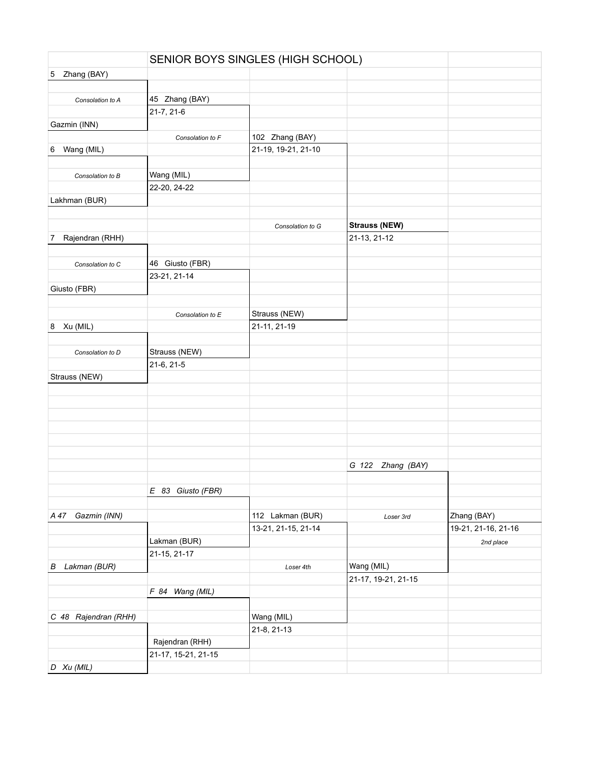|                      | SENIOR BOYS SINGLES (HIGH SCHOOL) |                     |                      |                     |
|----------------------|-----------------------------------|---------------------|----------------------|---------------------|
| Zhang (BAY)<br>5     |                                   |                     |                      |                     |
|                      |                                   |                     |                      |                     |
| Consolation to A     | 45 Zhang (BAY)                    |                     |                      |                     |
|                      | 21-7, 21-6                        |                     |                      |                     |
| Gazmin (INN)         |                                   |                     |                      |                     |
|                      | Consolation to F                  | 102 Zhang (BAY)     |                      |                     |
| Wang (MIL)<br>6      |                                   | 21-19, 19-21, 21-10 |                      |                     |
|                      |                                   |                     |                      |                     |
| Consolation to B     | Wang (MIL)                        |                     |                      |                     |
|                      | 22-20, 24-22                      |                     |                      |                     |
| Lakhman (BUR)        |                                   |                     |                      |                     |
|                      |                                   |                     |                      |                     |
|                      |                                   | Consolation to G    | <b>Strauss (NEW)</b> |                     |
| Rajendran (RHH)<br>7 |                                   |                     | 21-13, 21-12         |                     |
|                      |                                   |                     |                      |                     |
|                      |                                   |                     |                      |                     |
| Consolation to C     | 46 Giusto (FBR)                   |                     |                      |                     |
|                      | 23-21, 21-14                      |                     |                      |                     |
| Giusto (FBR)         |                                   |                     |                      |                     |
|                      |                                   |                     |                      |                     |
|                      | Consolation to E                  | Strauss (NEW)       |                      |                     |
| 8 Xu (MIL)           |                                   | 21-11, 21-19        |                      |                     |
|                      |                                   |                     |                      |                     |
| Consolation to D     | Strauss (NEW)                     |                     |                      |                     |
|                      | 21-6, 21-5                        |                     |                      |                     |
| Strauss (NEW)        |                                   |                     |                      |                     |
|                      |                                   |                     |                      |                     |
|                      |                                   |                     |                      |                     |
|                      |                                   |                     |                      |                     |
|                      |                                   |                     |                      |                     |
|                      |                                   |                     |                      |                     |
|                      |                                   |                     |                      |                     |
|                      |                                   |                     | G 122<br>Zhang (BAY) |                     |
|                      |                                   |                     |                      |                     |
|                      | E 83 Giusto (FBR)                 |                     |                      |                     |
|                      |                                   |                     |                      |                     |
| A 47 Gazmin (INN)    |                                   | 112 Lakman (BUR)    | Loser 3rd            | Zhang (BAY)         |
|                      |                                   | 13-21, 21-15, 21-14 |                      | 19-21, 21-16, 21-16 |
|                      | Lakman (BUR)                      |                     |                      | 2nd place           |
|                      | 21-15, 21-17                      |                     |                      |                     |
| Lakman (BUR)<br>В    |                                   | Loser 4th           | Wang (MIL)           |                     |
|                      |                                   |                     | 21-17, 19-21, 21-15  |                     |
|                      | F 84 Wang (MIL)                   |                     |                      |                     |
|                      |                                   |                     |                      |                     |
| C 48 Rajendran (RHH) |                                   | Wang (MIL)          |                      |                     |
|                      |                                   | 21-8, 21-13         |                      |                     |
|                      | Rajendran (RHH)                   |                     |                      |                     |
|                      | 21-17, 15-21, 21-15               |                     |                      |                     |
|                      |                                   |                     |                      |                     |
| $D$ Xu (MIL)         |                                   |                     |                      |                     |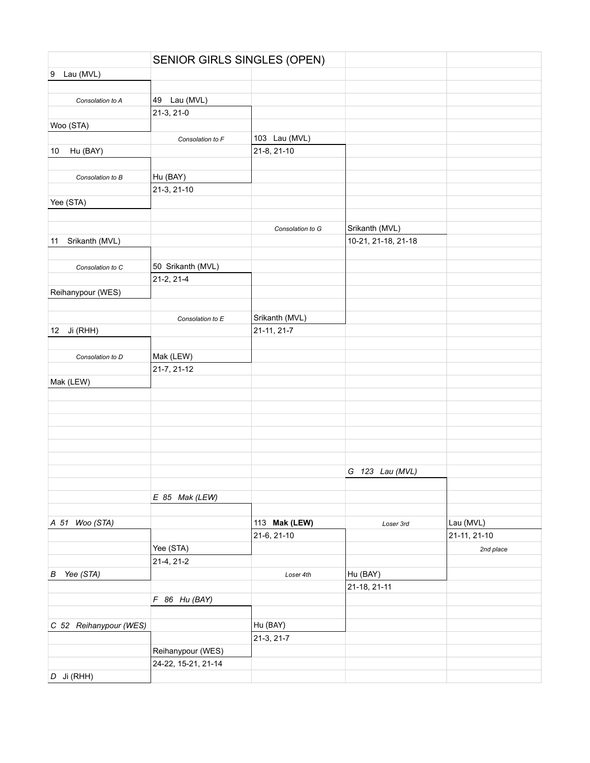|                             |                     | SENIOR GIRLS SINGLES (OPEN)  |                     |              |
|-----------------------------|---------------------|------------------------------|---------------------|--------------|
| 9 Lau (MVL)                 |                     |                              |                     |              |
|                             |                     |                              |                     |              |
| Consolation to A            | 49<br>Lau (MVL)     |                              |                     |              |
|                             | 21-3, 21-0          |                              |                     |              |
| Woo (STA)                   |                     |                              |                     |              |
|                             | Consolation to F    | 103 Lau (MVL)                |                     |              |
| Hu (BAY)<br>10              |                     | 21-8, 21-10                  |                     |              |
|                             |                     |                              |                     |              |
| Consolation to B            | Hu (BAY)            |                              |                     |              |
|                             | 21-3, 21-10         |                              |                     |              |
| Yee (STA)                   |                     |                              |                     |              |
|                             |                     |                              |                     |              |
|                             |                     | Consolation to G             | Srikanth (MVL)      |              |
| Srikanth (MVL)<br>11        |                     |                              | 10-21, 21-18, 21-18 |              |
|                             |                     |                              |                     |              |
| Consolation to C            | 50 Srikanth (MVL)   |                              |                     |              |
|                             | 21-2, 21-4          |                              |                     |              |
| Reihanypour (WES)           |                     |                              |                     |              |
|                             |                     |                              |                     |              |
|                             | Consolation to E    | Srikanth (MVL)               |                     |              |
| Ji (RHH)<br>12 <sub>2</sub> |                     | 21-11, 21-7                  |                     |              |
|                             |                     |                              |                     |              |
| Consolation to D            | Mak (LEW)           |                              |                     |              |
|                             | 21-7, 21-12         |                              |                     |              |
| Mak (LEW)                   |                     |                              |                     |              |
|                             |                     |                              |                     |              |
|                             |                     |                              |                     |              |
|                             |                     |                              |                     |              |
|                             |                     |                              |                     |              |
|                             |                     |                              |                     |              |
|                             |                     |                              |                     |              |
|                             |                     |                              |                     |              |
|                             |                     |                              | G 123 Lau (MVL)     |              |
|                             |                     |                              |                     |              |
|                             | $E$ 85 Mak (LEW)    |                              |                     |              |
|                             |                     |                              |                     |              |
| A 51 Woo (STA)              |                     | 113 Mak (LEW)<br>21-6, 21-10 | Loser 3rd           | Lau (MVL)    |
|                             |                     |                              |                     | 21-11, 21-10 |
|                             | Yee (STA)           |                              |                     | 2nd place    |
|                             | 21-4, 21-2          |                              |                     |              |
| B Yee (STA)                 |                     | Loser 4th                    | Hu (BAY)            |              |
|                             |                     |                              | 21-18, 21-11        |              |
|                             | $F$ 86 Hu (BAY)     |                              |                     |              |
|                             |                     |                              |                     |              |
| C 52 Reihanypour (WES)      |                     | Hu (BAY)                     |                     |              |
|                             |                     | 21-3, 21-7                   |                     |              |
|                             | Reihanypour (WES)   |                              |                     |              |
|                             | 24-22, 15-21, 21-14 |                              |                     |              |
| $D$ Ji (RHH)                |                     |                              |                     |              |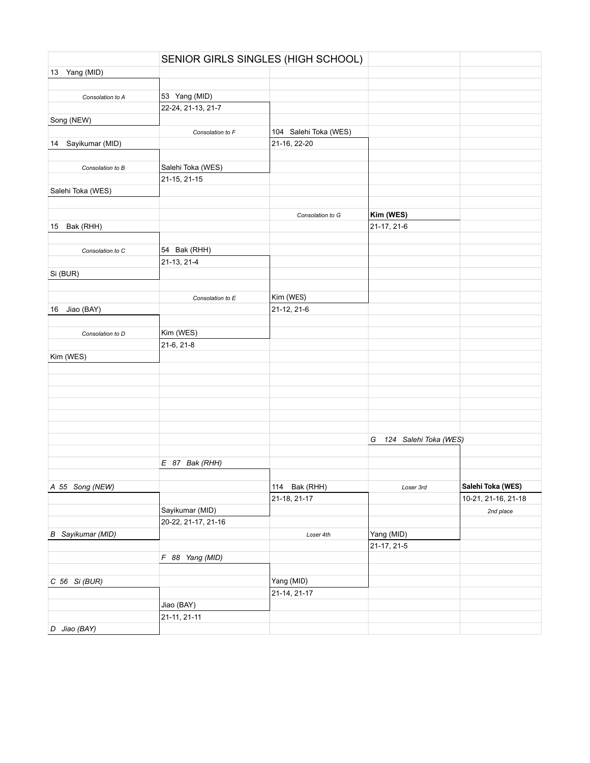|                          |                     | SENIOR GIRLS SINGLES (HIGH SCHOOL) |                         |                     |
|--------------------------|---------------------|------------------------------------|-------------------------|---------------------|
| 13 Yang (MID)            |                     |                                    |                         |                     |
|                          |                     |                                    |                         |                     |
| Consolation to A         | 53 Yang (MID)       |                                    |                         |                     |
|                          | 22-24, 21-13, 21-7  |                                    |                         |                     |
| Song (NEW)               |                     |                                    |                         |                     |
|                          | Consolation to F    | 104 Salehi Toka (WES)              |                         |                     |
| 14 Sayikumar (MID)       |                     | 21-16, 22-20                       |                         |                     |
|                          |                     |                                    |                         |                     |
| Consolation to B         | Salehi Toka (WES)   |                                    |                         |                     |
|                          | 21-15, 21-15        |                                    |                         |                     |
| Salehi Toka (WES)        |                     |                                    |                         |                     |
|                          |                     |                                    |                         |                     |
|                          |                     | Consolation to G                   | Kim (WES)               |                     |
| Bak (RHH)<br>15          |                     |                                    | 21-17, 21-6             |                     |
|                          |                     |                                    |                         |                     |
| Consolation to C         | 54 Bak (RHH)        |                                    |                         |                     |
|                          | 21-13, 21-4         |                                    |                         |                     |
| Si (BUR)                 |                     |                                    |                         |                     |
|                          |                     |                                    |                         |                     |
|                          |                     | Kim (WES)                          |                         |                     |
|                          | Consolation to E    |                                    |                         |                     |
| Jiao (BAY)<br>16         |                     | 21-12, 21-6                        |                         |                     |
|                          |                     |                                    |                         |                     |
| Consolation to D         | Kim (WES)           |                                    |                         |                     |
|                          | 21-6, 21-8          |                                    |                         |                     |
| Kim (WES)                |                     |                                    |                         |                     |
|                          |                     |                                    |                         |                     |
|                          |                     |                                    |                         |                     |
|                          |                     |                                    |                         |                     |
|                          |                     |                                    |                         |                     |
|                          |                     |                                    |                         |                     |
|                          |                     |                                    |                         |                     |
|                          |                     |                                    | G 124 Salehi Toka (WES) |                     |
|                          |                     |                                    |                         |                     |
|                          | $E$ 87 Bak (RHH)    |                                    |                         |                     |
|                          |                     |                                    |                         |                     |
| A 55 Song (NEW)          |                     | 114 Bak (RHH)                      | Loser 3rd               | Salehi Toka (WES)   |
|                          |                     | 21-18, 21-17                       |                         | 10-21, 21-16, 21-18 |
|                          | Sayikumar (MID)     |                                    |                         | 2nd place           |
|                          | 20-22, 21-17, 21-16 |                                    |                         |                     |
| <b>B</b> Sayikumar (MID) |                     | Loser 4th                          | Yang (MID)              |                     |
|                          |                     |                                    | 21-17, 21-5             |                     |
|                          | F 88 Yang (MID)     |                                    |                         |                     |
|                          |                     |                                    |                         |                     |
| C 56 Si (BUR)            |                     | Yang (MID)                         |                         |                     |
|                          |                     | 21-14, 21-17                       |                         |                     |
|                          | Jiao (BAY)          |                                    |                         |                     |
|                          | 21-11, 21-11        |                                    |                         |                     |
| D Jiao (BAY)             |                     |                                    |                         |                     |
|                          |                     |                                    |                         |                     |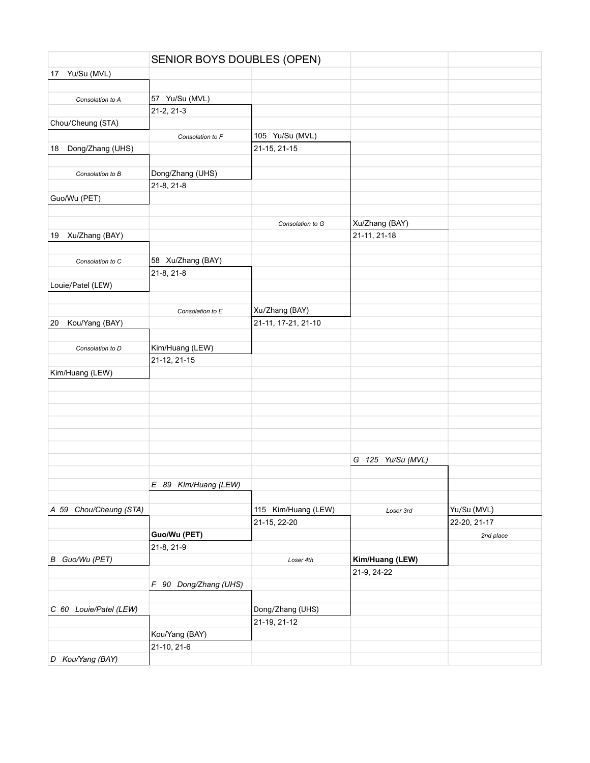|    |                        | SENIOR BOYS DOUBLES (OPEN) |                     |                   |              |
|----|------------------------|----------------------------|---------------------|-------------------|--------------|
| 17 | Yu/Su (MVL)            |                            |                     |                   |              |
|    |                        |                            |                     |                   |              |
|    | Consolation to A       | 57 Yu/Su (MVL)             |                     |                   |              |
|    |                        | 21-2, 21-3                 |                     |                   |              |
|    | Chou/Cheung (STA)      |                            |                     |                   |              |
|    |                        | Consolation to F           | 105 Yu/Su (MVL)     |                   |              |
| 18 | Dong/Zhang (UHS)       |                            | 21-15, 21-15        |                   |              |
|    |                        |                            |                     |                   |              |
|    | Consolation to B       | Dong/Zhang (UHS)           |                     |                   |              |
|    |                        | 21-8, 21-8                 |                     |                   |              |
|    | Guo/Wu (PET)           |                            |                     |                   |              |
|    |                        |                            |                     |                   |              |
|    |                        |                            | Consolation to G    | Xu/Zhang (BAY)    |              |
| 19 | Xu/Zhang (BAY)         |                            |                     | 21-11, 21-18      |              |
|    |                        |                            |                     |                   |              |
|    | Consolation to C       | 58 Xu/Zhang (BAY)          |                     |                   |              |
|    |                        | 21-8, 21-8                 |                     |                   |              |
|    | Louie/Patel (LEW)      |                            |                     |                   |              |
|    |                        |                            |                     |                   |              |
|    |                        | Consolation to E           | Xu/Zhang (BAY)      |                   |              |
| 20 | Kou/Yang (BAY)         |                            | 21-11, 17-21, 21-10 |                   |              |
|    |                        |                            |                     |                   |              |
|    | Consolation to D       | Kim/Huang (LEW)            |                     |                   |              |
|    |                        | 21-12, 21-15               |                     |                   |              |
|    | Kim/Huang (LEW)        |                            |                     |                   |              |
|    |                        |                            |                     |                   |              |
|    |                        |                            |                     |                   |              |
|    |                        |                            |                     |                   |              |
|    |                        |                            |                     |                   |              |
|    |                        |                            |                     |                   |              |
|    |                        |                            |                     |                   |              |
|    |                        |                            |                     |                   |              |
|    |                        |                            |                     | G 125 Yu/Su (MVL) |              |
|    |                        |                            |                     |                   |              |
|    |                        | E 89 Klm/Huang (LEW)       |                     |                   |              |
|    |                        |                            |                     |                   |              |
|    | A 59 Chou/Cheung (STA) |                            | 115 Kim/Huang (LEW) | Loser 3rd         | Yu/Su (MVL)  |
|    |                        |                            | 21-15, 22-20        |                   | 22-20, 21-17 |
|    |                        | Guo/Wu (PET)               |                     |                   | 2nd place    |
|    |                        | 21-8, 21-9                 |                     |                   |              |
|    | B Guo/Wu (PET)         |                            | Loser 4th           | Kim/Huang (LEW)   |              |
|    |                        |                            |                     | 21-9, 24-22       |              |
|    |                        | F 90 Dong/Zhang (UHS)      |                     |                   |              |
|    |                        |                            |                     |                   |              |
|    | C 60 Louie/Patel (LEW) |                            | Dong/Zhang (UHS)    |                   |              |
|    |                        |                            | 21-19, 21-12        |                   |              |
|    |                        | Kou/Yang (BAY)             |                     |                   |              |
|    |                        | 21-10, 21-6                |                     |                   |              |
|    | D Kou/Yang (BAY)       |                            |                     |                   |              |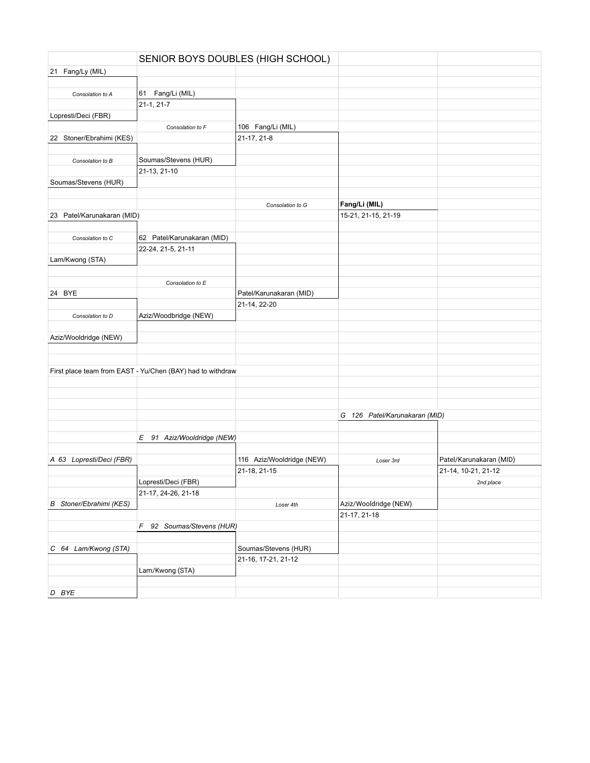|                                | SENIOR BOYS DOUBLES (HIGH SCHOOL)                          |                           |                               |                         |
|--------------------------------|------------------------------------------------------------|---------------------------|-------------------------------|-------------------------|
| 21 Fang/Ly (MIL)               |                                                            |                           |                               |                         |
|                                |                                                            |                           |                               |                         |
| Consolation to A               | 61 Fang/Li (MIL)                                           |                           |                               |                         |
|                                | $21-1, 21-7$                                               |                           |                               |                         |
| Lopresti/Deci (FBR)            |                                                            |                           |                               |                         |
|                                | Consolation to F                                           | 106 Fang/Li (MIL)         |                               |                         |
| 22 Stoner/Ebrahimi (KES)       |                                                            | 21-17, 21-8               |                               |                         |
|                                |                                                            |                           |                               |                         |
| Consolation to B               | Soumas/Stevens (HUR)                                       |                           |                               |                         |
|                                | 21-13, 21-10                                               |                           |                               |                         |
| Soumas/Stevens (HUR)           |                                                            |                           |                               |                         |
|                                |                                                            |                           |                               |                         |
|                                |                                                            | Consolation to G          | Fang/Li (MIL)                 |                         |
| 23 Patel/Karunakaran (MID)     |                                                            |                           | 15-21, 21-15, 21-19           |                         |
|                                |                                                            |                           |                               |                         |
| Consolation to C               | 62 Patel/Karunakaran (MID)                                 |                           |                               |                         |
|                                | 22-24, 21-5, 21-11                                         |                           |                               |                         |
| Lam/Kwong (STA)                |                                                            |                           |                               |                         |
|                                |                                                            |                           |                               |                         |
|                                | Consolation to E                                           |                           |                               |                         |
| 24 BYE                         |                                                            | Patel/Karunakaran (MID)   |                               |                         |
|                                |                                                            | 21-14, 22-20              |                               |                         |
| Consolation to D               | Aziz/Woodbridge (NEW)                                      |                           |                               |                         |
|                                |                                                            |                           |                               |                         |
| Aziz/Wooldridge (NEW)          |                                                            |                           |                               |                         |
|                                |                                                            |                           |                               |                         |
|                                |                                                            |                           |                               |                         |
|                                | First place team from EAST - Yu/Chen (BAY) had to withdraw |                           |                               |                         |
|                                |                                                            |                           |                               |                         |
|                                |                                                            |                           |                               |                         |
|                                |                                                            |                           |                               |                         |
|                                |                                                            |                           | G 126 Patel/Karunakaran (MID) |                         |
|                                |                                                            |                           |                               |                         |
|                                | E 91 Aziz/Wooldridge (NEW)                                 |                           |                               |                         |
|                                |                                                            |                           |                               |                         |
| A 63 Lopresti/Deci (FBR)       |                                                            | 116 Aziz/Wooldridge (NEW) | Loser 3rd                     | Patel/Karunakaran (MID) |
|                                |                                                            | 21-18, 21-15              |                               | 21-14, 10-21, 21-12     |
|                                | Lopresti/Deci (FBR)                                        |                           |                               | 2nd place               |
|                                | 21-17, 24-26, 21-18                                        |                           |                               |                         |
| <b>B</b> Stoner/Ebrahimi (KES) |                                                            | Loser 4th                 | Aziz/Wooldridge (NEW)         |                         |
|                                |                                                            |                           | 21-17, 21-18                  |                         |
|                                | F 92 Soumas/Stevens (HUR)                                  |                           |                               |                         |
|                                |                                                            |                           |                               |                         |
| C 64 Lam/Kwong (STA)           |                                                            | Soumas/Stevens (HUR)      |                               |                         |
|                                |                                                            | 21-16, 17-21, 21-12       |                               |                         |
|                                | Lam/Kwong (STA)                                            |                           |                               |                         |
|                                |                                                            |                           |                               |                         |
| D BYE                          |                                                            |                           |                               |                         |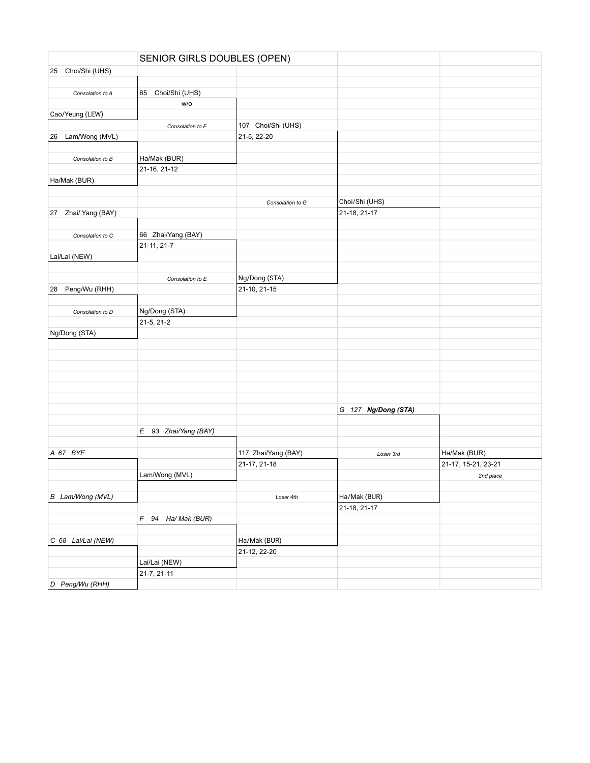|                        | SENIOR GIRLS DOUBLES (OPEN) |                     |                     |                     |
|------------------------|-----------------------------|---------------------|---------------------|---------------------|
| Choi/Shi (UHS)<br>25   |                             |                     |                     |                     |
|                        |                             |                     |                     |                     |
| Consolation to A       | 65<br>Choi/Shi (UHS)        |                     |                     |                     |
|                        | W/O                         |                     |                     |                     |
| Cao/Yeung (LEW)        |                             |                     |                     |                     |
|                        | Consolation to F            | 107 Choi/Shi (UHS)  |                     |                     |
| Lam/Wong (MVL)<br>26   |                             | 21-5, 22-20         |                     |                     |
|                        |                             |                     |                     |                     |
| Consolation to B       | Ha/Mak (BUR)                |                     |                     |                     |
|                        | 21-16, 21-12                |                     |                     |                     |
| Ha/Mak (BUR)           |                             |                     |                     |                     |
|                        |                             |                     |                     |                     |
|                        |                             | Consolation to G    | Choi/Shi (UHS)      |                     |
| Zhai/ Yang (BAY)<br>27 |                             |                     | 21-18, 21-17        |                     |
|                        |                             |                     |                     |                     |
|                        |                             |                     |                     |                     |
| Consolation to C       | 66 Zhai/Yang (BAY)          |                     |                     |                     |
|                        | 21-11, 21-7                 |                     |                     |                     |
| Lai/Lai (NEW)          |                             |                     |                     |                     |
|                        |                             |                     |                     |                     |
|                        | Consolation to E            | Ng/Dong (STA)       |                     |                     |
| Peng/Wu (RHH)<br>28    |                             | 21-10, 21-15        |                     |                     |
|                        |                             |                     |                     |                     |
| Consolation to D       | Ng/Dong (STA)               |                     |                     |                     |
|                        | 21-5, 21-2                  |                     |                     |                     |
| Ng/Dong (STA)          |                             |                     |                     |                     |
|                        |                             |                     |                     |                     |
|                        |                             |                     |                     |                     |
|                        |                             |                     |                     |                     |
|                        |                             |                     |                     |                     |
|                        |                             |                     |                     |                     |
|                        |                             |                     |                     |                     |
|                        |                             |                     | G 127 Ng/Dong (STA) |                     |
|                        |                             |                     |                     |                     |
|                        | E 93 Zhai/Yang (BAY)        |                     |                     |                     |
|                        |                             |                     |                     |                     |
| A 67 BYE               |                             | 117 Zhai/Yang (BAY) | Loser 3rd           | Ha/Mak (BUR)        |
|                        |                             | 21-17, 21-18        |                     | 21-17, 15-21, 23-21 |
|                        | Lam/Wong (MVL)              |                     |                     | 2nd place           |
|                        |                             |                     |                     |                     |
| B Lam/Wong (MVL)       |                             | Loser 4th           | Ha/Mak (BUR)        |                     |
|                        |                             |                     | 21-18, 21-17        |                     |
|                        | F 94 Ha/ Mak (BUR)          |                     |                     |                     |
|                        |                             |                     |                     |                     |
| C 68 Lai/Lai (NEW)     |                             | Ha/Mak (BUR)        |                     |                     |
|                        |                             | 21-12, 22-20        |                     |                     |
|                        |                             |                     |                     |                     |
|                        | Lai/Lai (NEW)               |                     |                     |                     |
|                        | 21-7, 21-11                 |                     |                     |                     |
| D Peng/Wu (RHH)        |                             |                     |                     |                     |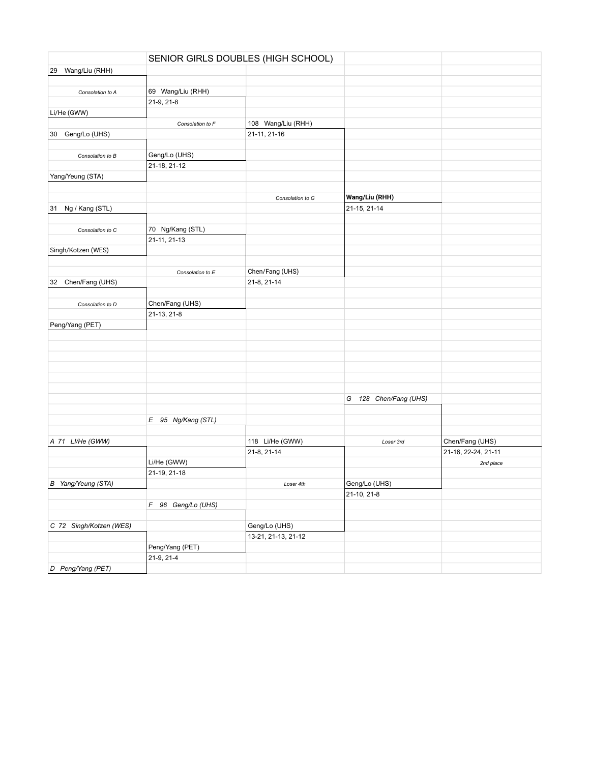|                         |                    | SENIOR GIRLS DOUBLES (HIGH SCHOOL) |                          |                     |
|-------------------------|--------------------|------------------------------------|--------------------------|---------------------|
| 29 Wang/Liu (RHH)       |                    |                                    |                          |                     |
|                         |                    |                                    |                          |                     |
| Consolation to A        | 69 Wang/Liu (RHH)  |                                    |                          |                     |
|                         | 21-9, 21-8         |                                    |                          |                     |
| Li/He (GWW)             |                    |                                    |                          |                     |
|                         | Consolation to F   | 108 Wang/Liu (RHH)                 |                          |                     |
| Geng/Lo (UHS)<br>30     |                    | 21-11, 21-16                       |                          |                     |
|                         |                    |                                    |                          |                     |
| Consolation to B        | Geng/Lo (UHS)      |                                    |                          |                     |
|                         | 21-18, 21-12       |                                    |                          |                     |
| Yang/Yeung (STA)        |                    |                                    |                          |                     |
|                         |                    |                                    |                          |                     |
|                         |                    | Consolation to G                   | Wang/Liu (RHH)           |                     |
| Ng / Kang (STL)         |                    |                                    | 21-15, 21-14             |                     |
| 31                      |                    |                                    |                          |                     |
|                         |                    |                                    |                          |                     |
| Consolation to C        | 70 Ng/Kang (STL)   |                                    |                          |                     |
|                         | 21-11, 21-13       |                                    |                          |                     |
| Singh/Kotzen (WES)      |                    |                                    |                          |                     |
|                         |                    |                                    |                          |                     |
|                         | Consolation to E   | Chen/Fang (UHS)                    |                          |                     |
| Chen/Fang (UHS)<br>32   |                    | 21-8, 21-14                        |                          |                     |
|                         |                    |                                    |                          |                     |
| Consolation to D        | Chen/Fang (UHS)    |                                    |                          |                     |
|                         | 21-13, 21-8        |                                    |                          |                     |
| Peng/Yang (PET)         |                    |                                    |                          |                     |
|                         |                    |                                    |                          |                     |
|                         |                    |                                    |                          |                     |
|                         |                    |                                    |                          |                     |
|                         |                    |                                    |                          |                     |
|                         |                    |                                    |                          |                     |
|                         |                    |                                    |                          |                     |
|                         |                    |                                    | 128 Chen/Fang (UHS)<br>G |                     |
|                         |                    |                                    |                          |                     |
|                         | E 95 Ng/Kang (STL) |                                    |                          |                     |
|                         |                    |                                    |                          |                     |
| A 71 LI/He (GWW)        |                    | 118 Li/He (GWW)                    | Loser 3rd                | Chen/Fang (UHS)     |
|                         |                    | 21-8, 21-14                        |                          | 21-16, 22-24, 21-11 |
|                         | Li/He (GWW)        |                                    |                          |                     |
|                         |                    |                                    |                          | 2nd place           |
|                         | 21-19, 21-18       |                                    |                          |                     |
| B Yang/Yeung (STA)      |                    | Loser 4th                          | Geng/Lo (UHS)            |                     |
|                         |                    |                                    | 21-10, 21-8              |                     |
|                         | F 96 Geng/Lo (UHS) |                                    |                          |                     |
|                         |                    |                                    |                          |                     |
| C 72 Singh/Kotzen (WES) |                    | Geng/Lo (UHS)                      |                          |                     |
|                         |                    | 13-21, 21-13, 21-12                |                          |                     |
|                         | Peng/Yang (PET)    |                                    |                          |                     |
|                         | 21-9, 21-4         |                                    |                          |                     |
| D Peng/Yang (PET)       |                    |                                    |                          |                     |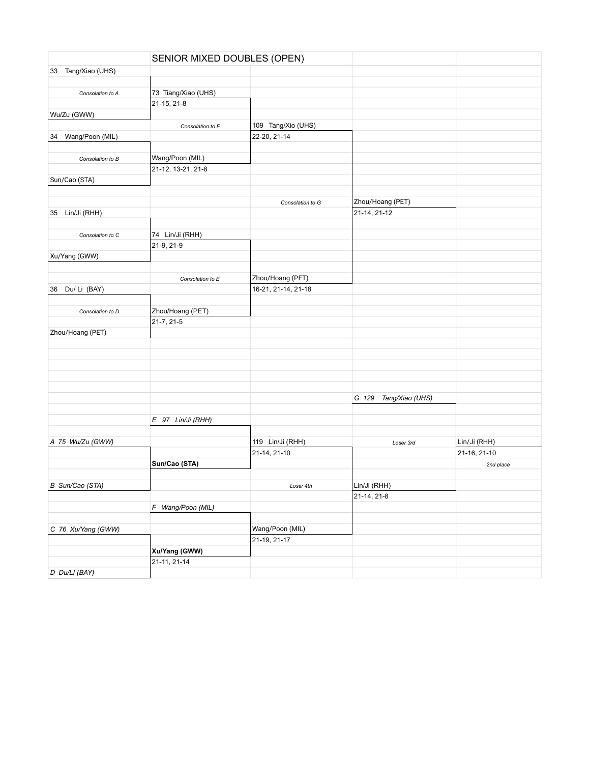|                       | SENIOR MIXED DOUBLES (OPEN) |                     |                          |              |
|-----------------------|-----------------------------|---------------------|--------------------------|--------------|
| 33 Tang/Xiao (UHS)    |                             |                     |                          |              |
|                       |                             |                     |                          |              |
| Consolation to A      | 73 Tiang/Xiao (UHS)         |                     |                          |              |
|                       | 21-15, 21-8                 |                     |                          |              |
| Wu/Zu (GWW)           |                             |                     |                          |              |
|                       | Consolation to F            | 109 Tang/Xio (UHS)  |                          |              |
| Wang/Poon (MIL)<br>34 |                             | 22-20, 21-14        |                          |              |
|                       |                             |                     |                          |              |
| Consolation to B      | Wang/Poon (MIL)             |                     |                          |              |
|                       | 21-12, 13-21, 21-8          |                     |                          |              |
| Sun/Cao (STA)         |                             |                     |                          |              |
|                       |                             |                     |                          |              |
|                       |                             | Consolation to G    | Zhou/Hoang (PET)         |              |
| Lin/Ji (RHH)<br>35    |                             |                     | 21-14, 21-12             |              |
|                       |                             |                     |                          |              |
| Consolation to C      | 74 Lin/Ji (RHH)             |                     |                          |              |
|                       | 21-9, 21-9                  |                     |                          |              |
| Xu/Yang (GWW)         |                             |                     |                          |              |
|                       |                             |                     |                          |              |
|                       | Consolation to E            | Zhou/Hoang (PET)    |                          |              |
| Du/Li (BAY)<br>36     |                             | 16-21, 21-14, 21-18 |                          |              |
|                       |                             |                     |                          |              |
| Consolation to D      | Zhou/Hoang (PET)            |                     |                          |              |
|                       | 21-7, 21-5                  |                     |                          |              |
| Zhou/Hoang (PET)      |                             |                     |                          |              |
|                       |                             |                     |                          |              |
|                       |                             |                     |                          |              |
|                       |                             |                     |                          |              |
|                       |                             |                     |                          |              |
|                       |                             |                     |                          |              |
|                       |                             |                     | G 129<br>Tang/Xiao (UHS) |              |
|                       |                             |                     |                          |              |
|                       | E 97 Lin/Ji (RHH)           |                     |                          |              |
|                       |                             |                     |                          |              |
| A 75 Wu/Zu (GWW)      |                             | 119 Lin/Ji (RHH)    | Loser 3rd                | Lin/Ji (RHH) |
|                       |                             | 21-14, 21-10        |                          | 21-16, 21-10 |
|                       | Sun/Cao (STA)               |                     |                          | 2nd place    |
|                       |                             |                     |                          |              |
| B Sun/Cao (STA)       |                             | Loser 4th           | Lin/Ji (RHH)             |              |
|                       |                             |                     | 21-14, 21-8              |              |
|                       | F Wang/Poon (MIL)           |                     |                          |              |
|                       |                             |                     |                          |              |
| C 76 Xu/Yang (GWW)    |                             | Wang/Poon (MIL)     |                          |              |
|                       |                             | 21-19, 21-17        |                          |              |
|                       | Xu/Yang (GWW)               |                     |                          |              |
|                       | 21-11, 21-14                |                     |                          |              |
| D Du/LI (BAY)         |                             |                     |                          |              |